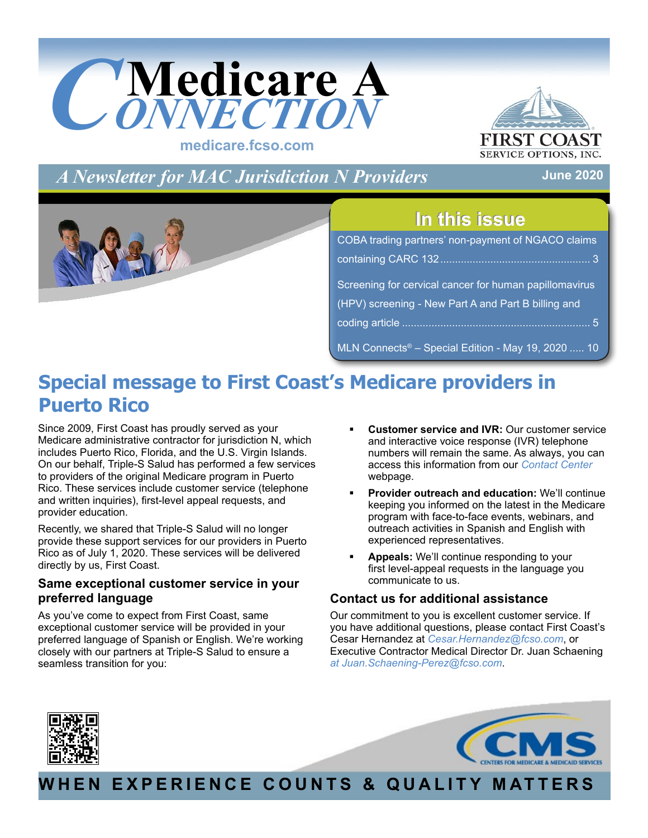<span id="page-0-0"></span>



*A Newsletter for MAC Jurisdiction N Providers*

**June 2020**



# **In this issue In this issue**

| COBA trading partners' non-payment of NGACO claims     |  |  |
|--------------------------------------------------------|--|--|
|                                                        |  |  |
| Screening for cervical cancer for human papillomavirus |  |  |
| (HPV) screening - New Part A and Part B billing and    |  |  |
|                                                        |  |  |
| MLN Connects® - Special Edition - May 19, 2020  10     |  |  |

# **Special message to First Coast's Medicare providers in Puerto Rico**

Since 2009, First Coast has proudly served as your Medicare administrative contractor for jurisdiction N, which includes Puerto Rico, Florida, and the U.S. Virgin Islands. On our behalf, Triple-S Salud has performed a few services to providers of the original Medicare program in Puerto Rico. These services include customer service (telephone and written inquiries), first-level appeal requests, and provider education.

Recently, we shared that Triple-S Salud will no longer provide these support services for our providers in Puerto Rico as of July 1, 2020. These services will be delivered directly by us, First Coast.

## **Same exceptional customer service in your preferred language**

As you've come to expect from First Coast, same exceptional customer service will be provided in your preferred language of Spanish or English. We're working closely with our partners at Triple-S Salud to ensure a seamless transition for you:

- **Customer service and IVR:** Our customer service and interactive voice response (IVR) telephone numbers will remain the same. As always, you can access this information from our *[Contact Center](https://medicare.fcso.com/Landing/239014.asp)* webpage.
- **Provider outreach and education:** We'll continue keeping you informed on the latest in the Medicare program with face-to-face events, webinars, and outreach activities in Spanish and English with experienced representatives.
- **Appeals:** We'll continue responding to your first level-appeal requests in the language you communicate to us.

## **Contact us for additional assistance**

Our commitment to you is excellent customer service. If you have additional questions, please contact First Coast's Cesar Hernandez at *[Cesar.Hernandez@fcso.com](mailto:Cesar.Hernandez@fcso.com)*, or Executive Contractor Medical Director Dr. Juan Schaening *at [Juan.Schaening-Perez@fcso.com](mailto:Juan.Schaening-Perez@fcso.com)*.





# **WHEN EXPERIENCE COUNTS & QUALITY MATTERS**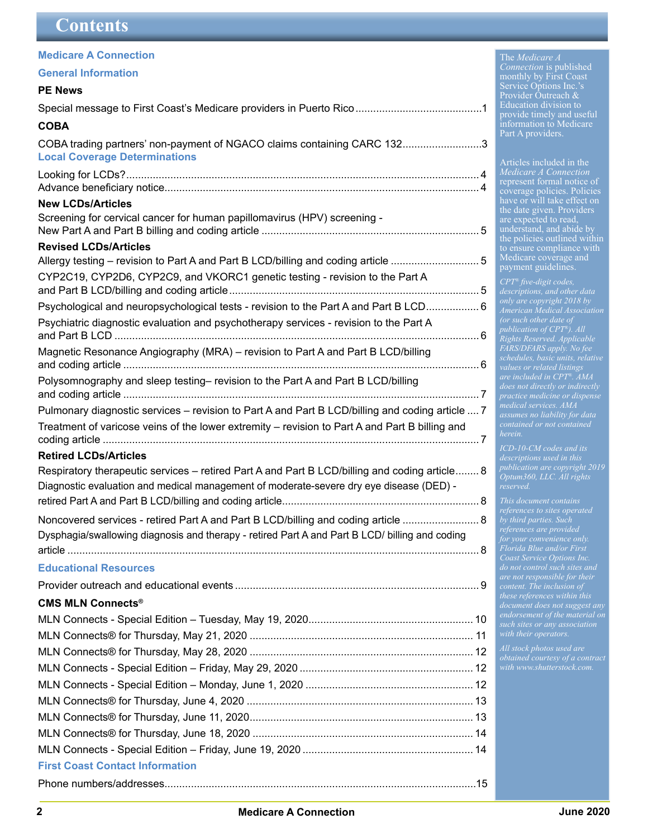<span id="page-1-0"></span>

| <b>Medicare A Connection</b>                                                                                                                                                             |
|------------------------------------------------------------------------------------------------------------------------------------------------------------------------------------------|
| <b>General Information</b>                                                                                                                                                               |
| <b>PE News</b>                                                                                                                                                                           |
|                                                                                                                                                                                          |
| <b>COBA</b>                                                                                                                                                                              |
| COBA trading partners' non-payment of NGACO claims containing CARC 1323<br><b>Local Coverage Determinations</b>                                                                          |
|                                                                                                                                                                                          |
| <b>New LCDs/Articles</b>                                                                                                                                                                 |
| Screening for cervical cancer for human papillomavirus (HPV) screening -                                                                                                                 |
| <b>Revised LCDs/Articles</b>                                                                                                                                                             |
| Allergy testing - revision to Part A and Part B LCD/billing and coding article 5                                                                                                         |
| CYP2C19, CYP2D6, CYP2C9, and VKORC1 genetic testing - revision to the Part A                                                                                                             |
| Psychological and neuropsychological tests - revision to the Part A and Part B LCD 6                                                                                                     |
| Psychiatric diagnostic evaluation and psychotherapy services - revision to the Part A                                                                                                    |
| Magnetic Resonance Angiography (MRA) - revision to Part A and Part B LCD/billing                                                                                                         |
| Polysomnography and sleep testing- revision to the Part A and Part B LCD/billing                                                                                                         |
| Pulmonary diagnostic services – revision to Part A and Part B LCD/billing and coding article  7                                                                                          |
| Treatment of varicose veins of the lower extremity – revision to Part A and Part B billing and                                                                                           |
| <b>Retired LCDs/Articles</b>                                                                                                                                                             |
| Respiratory therapeutic services – retired Part A and Part B LCD/billing and coding article 8<br>Diagnostic evaluation and medical management of moderate-severe dry eye disease (DED) - |
|                                                                                                                                                                                          |
| Noncovered services - retired Part A and Part B LCD/billing and coding article  8                                                                                                        |
| Dysphagia/swallowing diagnosis and therapy - retired Part A and Part B LCD/ billing and coding                                                                                           |
|                                                                                                                                                                                          |
| <b>Educational Resources</b>                                                                                                                                                             |
|                                                                                                                                                                                          |
| <b>CMS MLN Connects®</b>                                                                                                                                                                 |
|                                                                                                                                                                                          |
|                                                                                                                                                                                          |
|                                                                                                                                                                                          |
|                                                                                                                                                                                          |
|                                                                                                                                                                                          |
|                                                                                                                                                                                          |

#### The *Medicare A Connection* is published monthly by First Coast Service Options Inc.'s Provider Outreach & Education division to provide timely and useful information to Medicare

Part A providers.

Articles included in the *Medicare A Connection* represent formal notice of coverage policies. Policies have or will take effect on the date given. Providers are expected to read, understand, and abide by the policies outlined within to ensure compliance with Medicare coverage and payment guidelines.

*CPT® five-digit codes, only are copyright 2018 by American Medical Association publication of CPT®). All Rights Reserved. Applicable FARS/DFARS apply. No fee schedules, basic units, relative values or related listings are included in CPT®. AMA medical services. AMA assumes no liability for data herein.*

*ICD-10-CM codes and its publication are copyright 2019 Optum360, LLC. All rights reserved.*

*This document contains by third parties. Such Florida Blue and/or First Coast Service Options Inc. are not responsible for their content. The inclusion of these references within this endorsement of the material on* 

MLN Connects® for Thursday, June 18, 2020 ........................................................................... 14 [MLN Connects - Special Edition – Friday, June 19, 2020](#page-13-0) .......................................................... 14

[Phone numbers/addresses..........................................................................................................15](#page-14-0)

**[First Coast Contact Information](#page-14-0)**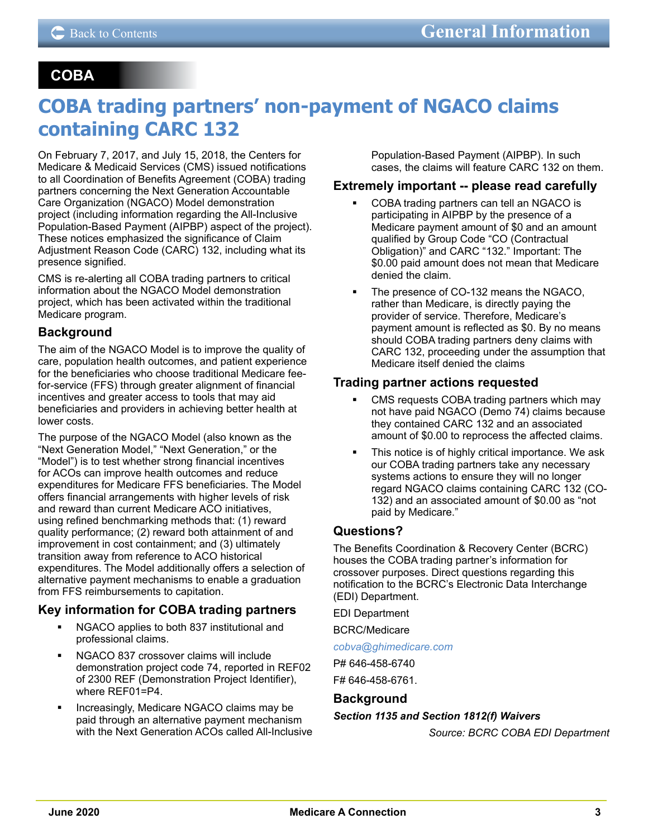## <span id="page-2-0"></span> **COBA**

# **COBA trading partners' non-payment of NGACO claims containing CARC 132**

On February 7, 2017, and July 15, 2018, the Centers for Medicare & Medicaid Services (CMS) issued notifications to all Coordination of Benefits Agreement (COBA) trading partners concerning the Next Generation Accountable Care Organization (NGACO) Model demonstration project (including information regarding the All-Inclusive Population-Based Payment (AIPBP) aspect of the project). These notices emphasized the significance of Claim Adjustment Reason Code (CARC) 132, including what its presence signified.

CMS is re-alerting all COBA trading partners to critical information about the NGACO Model demonstration project, which has been activated within the traditional Medicare program.

## **Background**

The aim of the NGACO Model is to improve the quality of care, population health outcomes, and patient experience for the beneficiaries who choose traditional Medicare feefor-service (FFS) through greater alignment of financial incentives and greater access to tools that may aid beneficiaries and providers in achieving better health at lower costs.

The purpose of the NGACO Model (also known as the "Next Generation Model," "Next Generation," or the "Model") is to test whether strong financial incentives for ACOs can improve health outcomes and reduce expenditures for Medicare FFS beneficiaries. The Model offers financial arrangements with higher levels of risk and reward than current Medicare ACO initiatives, using refined benchmarking methods that: (1) reward quality performance; (2) reward both attainment of and improvement in cost containment; and (3) ultimately transition away from reference to ACO historical expenditures. The Model additionally offers a selection of alternative payment mechanisms to enable a graduation from FFS reimbursements to capitation.

## **Key information for COBA trading partners**

- NGACO applies to both 837 institutional and professional claims.
- NGACO 837 crossover claims will include demonstration project code 74, reported in REF02 of 2300 REF (Demonstration Project Identifier), where REF01=P4.
- Increasingly, Medicare NGACO claims may be paid through an alternative payment mechanism with the Next Generation ACOs called All-Inclusive

Population-Based Payment (AIPBP). In such cases, the claims will feature CARC 132 on them.

#### **Extremely important -- please read carefully**

- COBA trading partners can tell an NGACO is participating in AIPBP by the presence of a Medicare payment amount of \$0 and an amount qualified by Group Code "CO (Contractual Obligation)" and CARC "132." Important: The \$0.00 paid amount does not mean that Medicare denied the claim.
- The presence of CO-132 means the NGACO, rather than Medicare, is directly paying the provider of service. Therefore, Medicare's payment amount is reflected as \$0. By no means should COBA trading partners deny claims with CARC 132, proceeding under the assumption that Medicare itself denied the claims

#### **Trading partner actions requested**

- CMS requests COBA trading partners which may not have paid NGACO (Demo 74) claims because they contained CARC 132 and an associated amount of \$0.00 to reprocess the affected claims.
- This notice is of highly critical importance. We ask our COBA trading partners take any necessary systems actions to ensure they will no longer regard NGACO claims containing CARC 132 (CO-132) and an associated amount of \$0.00 as "not paid by Medicare."

## **Questions?**

The Benefits Coordination & Recovery Center (BCRC) houses the COBA trading partner's information for crossover purposes. Direct questions regarding this notification to the BCRC's Electronic Data Interchange (EDI) Department.

EDI Department

BCRC/Medicare

#### *[cobva@ghimedicare.com](mailto:cobva@ghimedicare.com)*

P# 646-458-6740

F# 646-458-6761.

#### **Background**

#### *Section 1135 and Section 1812(f) Waivers*

*Source: BCRC COBA EDI Department*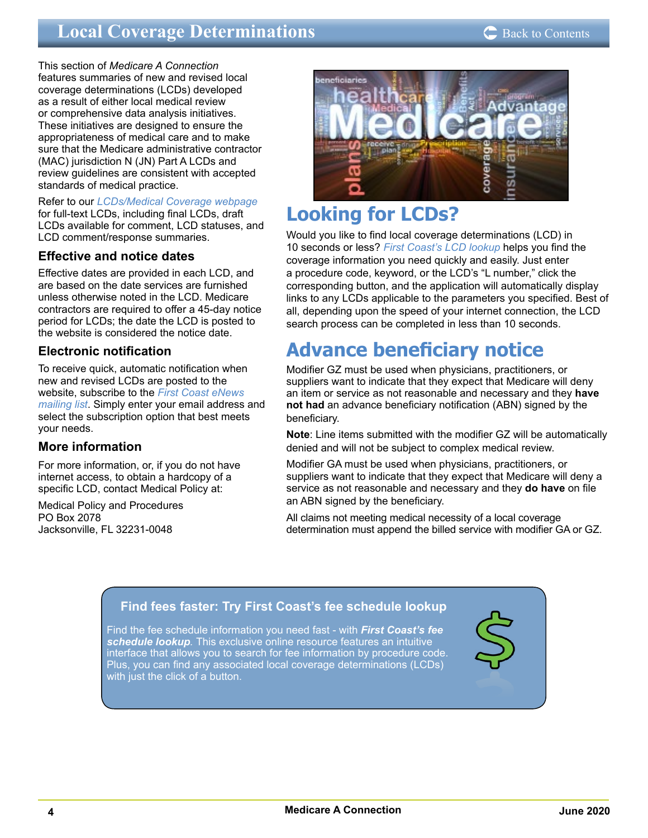#### Back to Contents

# <span id="page-3-0"></span>**Local Coverage Determinations**

This section of *Medicare A Connection* features summaries of new and revised local coverage determinations (LCDs) developed as a result of either local medical review or comprehensive data analysis initiatives. These initiatives are designed to ensure the appropriateness of medical care and to make sure that the Medicare administrative contractor (MAC) jurisdiction N (JN) Part A LCDs and review guidelines are consistent with accepted standards of medical practice.

Refer to our *[LCDs/Medical Coverage webpage](https://medicare.fcso.com/Landing/139800.asp)* for full-text LCDs, including final LCDs, draft LCDs available for comment, LCD statuses, and LCD comment/response summaries.

## **Effective and notice dates**

Effective dates are provided in each LCD, and are based on the date services are furnished unless otherwise noted in the LCD. Medicare contractors are required to offer a 45-day notice period for LCDs; the date the LCD is posted to the website is considered the notice date.

## **Electronic notification**

To receive quick, automatic notification when new and revised LCDs are posted to the website, subscribe to the *[First Coast eNews](https://medicare.fcso.com/Header/137525.asp)  [mailing list](https://medicare.fcso.com/Header/137525.asp)*. Simply enter your email address and select the subscription option that best meets your needs.

#### **More information**

For more information, or, if you do not have internet access, to obtain a hardcopy of a specific LCD, contact Medical Policy at:

Medical Policy and Procedures PO Box 2078 Jacksonville, FL 32231-0048



# **Looking for LCDs?**

Would you like to find local coverage determinations (LCD) in 10 seconds or less? *[First Coast's LCD lookup](https://medicare.fcso.com/coverage_find_lcds_and_ncds/lcd_search.asp)* helps you find the coverage information you need quickly and easily. Just enter a procedure code, keyword, or the LCD's "L number," click the corresponding button, and the application will automatically display links to any LCDs applicable to the parameters you specified. Best of all, depending upon the speed of your internet connection, the LCD search process can be completed in less than 10 seconds.

# **Advance beneficiary notice**

Modifier GZ must be used when physicians, practitioners, or suppliers want to indicate that they expect that Medicare will deny an item or service as not reasonable and necessary and they **have not had** an advance beneficiary notification (ABN) signed by the beneficiary.

**Note**: Line items submitted with the modifier GZ will be automatically denied and will not be subject to complex medical review.

Modifier GA must be used when physicians, practitioners, or suppliers want to indicate that they expect that Medicare will deny a service as not reasonable and necessary and they **do have** on file an ABN signed by the beneficiary.

All claims not meeting medical necessity of a local coverage determination must append the billed service with modifier GA or GZ.

## **[Find fees faster: Try First Coast's fee schedule lookup](https://medicare.fcso.com/SharedTools/faces/FeeSchedule_en.jspx;jsessionid=-kriENpv_4Bi34Cvf1z5PpspNjgQn_hnAO6PxVdmJ9KHoXi4_k6s!-2055085748?lob=Part B&state=FL)**

Find the fee schedule information you need fast - with *First Coast's fee schedule lookup.* This exclusive online resource features an intuitive interface that allows you to search for fee information by procedure code. Plus, you can find any associated local coverage determinations (LCDs) with just the click of a button.

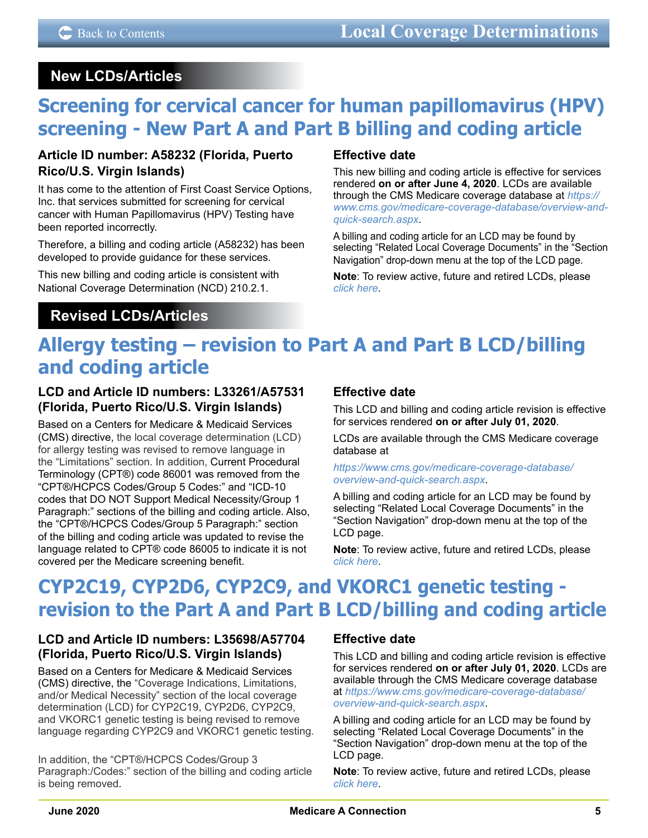## <span id="page-4-0"></span> **New LCDs/Articles**

# **Screening for cervical cancer for human papillomavirus (HPV) screening - New Part A and Part B billing and coding article**

## **Article ID number: A58232 (Florida, Puerto Rico/U.S. Virgin Islands)**

It has come to the attention of First Coast Service Options, Inc. that services submitted for screening for cervical cancer with Human Papillomavirus (HPV) Testing have been reported incorrectly.

Therefore, a billing and coding article (A58232) has been developed to provide guidance for these services.

This new billing and coding article is consistent with National Coverage Determination (NCD) 210.2.1.

## **Revised LCDs/Articles**

## **Effective date**

This new billing and coding article is effective for services rendered **on or after June 4, 2020**. LCDs are available through the CMS Medicare coverage database at *[https://](https://www.cms.gov/medicare-coverage-database/overview-and-quick-search.aspx) [www.cms.gov/medicare-coverage-database/overview-and](https://www.cms.gov/medicare-coverage-database/overview-and-quick-search.aspx)[quick-search.aspx](https://www.cms.gov/medicare-coverage-database/overview-and-quick-search.aspx)*.

A billing and coding article for an LCD may be found by selecting "Related Local Coverage Documents" in the "Section Navigation" drop-down menu at the top of the LCD page.

**Note**: To review active, future and retired LCDs, please *[click here](https://medicare.fcso.com/coverage_find_lcds_and_ncds/lcd_search.asp)*.

# **Allergy testing – revision to Part A and Part B LCD/billing and coding article**

## **LCD and Article ID numbers: L33261/A57531 (Florida, Puerto Rico/U.S. Virgin Islands)**

Based on a Centers for Medicare & Medicaid Services (CMS) directive, the local coverage determination (LCD) for allergy testing was revised to remove language in the "Limitations" section. In addition, Current Procedural Terminology (CPT®) code 86001 was removed from the "CPT®/HCPCS Codes/Group 5 Codes:" and "ICD-10 codes that DO NOT Support Medical Necessity/Group 1 Paragraph:" sections of the billing and coding article. Also, the "CPT®/HCPCS Codes/Group 5 Paragraph:" section of the billing and coding article was updated to revise the language related to CPT® code 86005 to indicate it is not covered per the Medicare screening benefit.

## **Effective date**

This LCD and billing and coding article revision is effective for services rendered **on or after July 01, 2020**.

LCDs are available through the CMS Medicare coverage database at

#### *[https://www.cms.gov/medicare-coverage-database/](https://www.cms.gov/medicare-coverage-database/overview-and-quick-search.aspx) [overview-and-quick-search.aspx](https://www.cms.gov/medicare-coverage-database/overview-and-quick-search.aspx)*.

A billing and coding article for an LCD may be found by selecting "Related Local Coverage Documents" in the "Section Navigation" drop-down menu at the top of the LCD page.

**Note**: To review active, future and retired LCDs, please *[click here](https://medicare.fcso.com/coverage_find_lcds_and_ncds/lcd_search.asp)*.

# **CYP2C19, CYP2D6, CYP2C9, and VKORC1 genetic testing revision to the Part A and Part B LCD/billing and coding article**

## **LCD and Article ID numbers: L35698/A57704 (Florida, Puerto Rico/U.S. Virgin Islands)**

Based on a Centers for Medicare & Medicaid Services (CMS) directive, the "Coverage Indications, Limitations, and/or Medical Necessity" section of the local coverage determination (LCD) for CYP2C19, CYP2D6, CYP2C9, and VKORC1 genetic testing is being revised to remove language regarding CYP2C9 and VKORC1 genetic testing.

In addition, the "CPT®/HCPCS Codes/Group 3 Paragraph:/Codes:" section of the billing and coding article is being removed.

## **Effective date**

This LCD and billing and coding article revision is effective for services rendered **on or after July 01, 2020**. LCDs are available through the CMS Medicare coverage database at *[https://www.cms.gov/medicare-coverage-database/](https://www.cms.gov/medicare-coverage-database/overview-and-quick-search.aspx) [overview-and-quick-search.aspx](https://www.cms.gov/medicare-coverage-database/overview-and-quick-search.aspx)*.

A billing and coding article for an LCD may be found by selecting "Related Local Coverage Documents" in the "Section Navigation" drop-down menu at the top of the LCD page.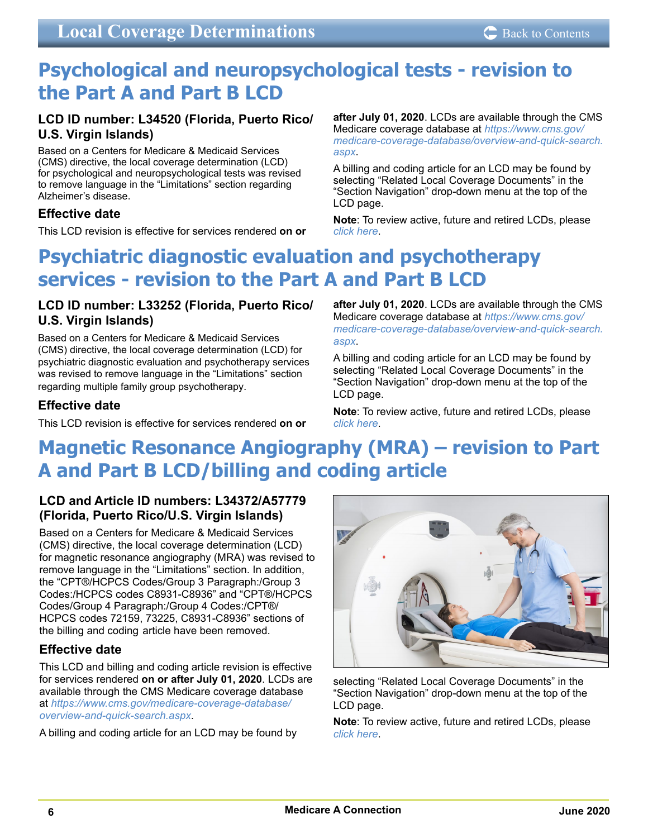# <span id="page-5-0"></span>**Psychological and neuropsychological tests - revision to the Part A and Part B LCD**

## **LCD ID number: L34520 (Florida, Puerto Rico/ U.S. Virgin Islands)**

Based on a Centers for Medicare & Medicaid Services (CMS) directive, the local coverage determination (LCD) for psychological and neuropsychological tests was revised to remove language in the "Limitations" section regarding Alzheimer's disease.

## **Effective date**

This LCD revision is effective for services rendered **on or** 

**after July 01, 2020**. LCDs are available through the CMS Medicare coverage database at *[https://www.cms.gov/](https://www.cms.gov/medicare-coverage-database/overview-and-quick-search.aspx) [medicare-coverage-database/overview-and-quick-search.](https://www.cms.gov/medicare-coverage-database/overview-and-quick-search.aspx) [aspx](https://www.cms.gov/medicare-coverage-database/overview-and-quick-search.aspx)*.

A billing and coding article for an LCD may be found by selecting "Related Local Coverage Documents" in the "Section Navigation" drop-down menu at the top of the LCD page.

**Note**: To review active, future and retired LCDs, please *[click here](https://medicare.fcso.com/coverage_find_lcds_and_ncds/lcd_search.asp)*.

# **Psychiatric diagnostic evaluation and psychotherapy services - revision to the Part A and Part B LCD**

## **LCD ID number: L33252 (Florida, Puerto Rico/ U.S. Virgin Islands)**

Based on a Centers for Medicare & Medicaid Services (CMS) directive, the local coverage determination (LCD) for psychiatric diagnostic evaluation and psychotherapy services was revised to remove language in the "Limitations" section regarding multiple family group psychotherapy.

## **Effective date**

This LCD revision is effective for services rendered **on or** 

**after July 01, 2020**. LCDs are available through the CMS Medicare coverage database at *[https://www.cms.gov/](https://www.cms.gov/medicare-coverage-database/overview-and-quick-search.aspx) [medicare-coverage-database/overview-and-quick-search.](https://www.cms.gov/medicare-coverage-database/overview-and-quick-search.aspx) [aspx](https://www.cms.gov/medicare-coverage-database/overview-and-quick-search.aspx)*.

A billing and coding article for an LCD may be found by selecting "Related Local Coverage Documents" in the "Section Navigation" drop-down menu at the top of the LCD page.

**Note**: To review active, future and retired LCDs, please *[click here](https://medicare.fcso.com/coverage_find_lcds_and_ncds/lcd_search.asp)*.

# **Magnetic Resonance Angiography (MRA) – revision to Part A and Part B LCD/billing and coding article**

## **LCD and Article ID numbers: L34372/A57779 (Florida, Puerto Rico/U.S. Virgin Islands)**

Based on a Centers for Medicare & Medicaid Services (CMS) directive, the local coverage determination (LCD) for magnetic resonance angiography (MRA) was revised to remove language in the "Limitations" section. In addition, the "CPT®/HCPCS Codes/Group 3 Paragraph:/Group 3 Codes:/HCPCS codes C8931-C8936" and "CPT®/HCPCS Codes/Group 4 Paragraph:/Group 4 Codes:/CPT®/ HCPCS codes 72159, 73225, C8931-C8936" sections of the billing and coding article have been removed.

## **Effective date**

This LCD and billing and coding article revision is effective for services rendered **on or after July 01, 2020**. LCDs are available through the CMS Medicare coverage database at *[https://www.cms.gov/medicare-coverage-database/](https://www.cms.gov/medicare-coverage-database/overview-and-quick-search.aspx) [overview-and-quick-search.aspx](https://www.cms.gov/medicare-coverage-database/overview-and-quick-search.aspx)*.

A billing and coding article for an LCD may be found by



selecting "Related Local Coverage Documents" in the "Section Navigation" drop-down menu at the top of the LCD page.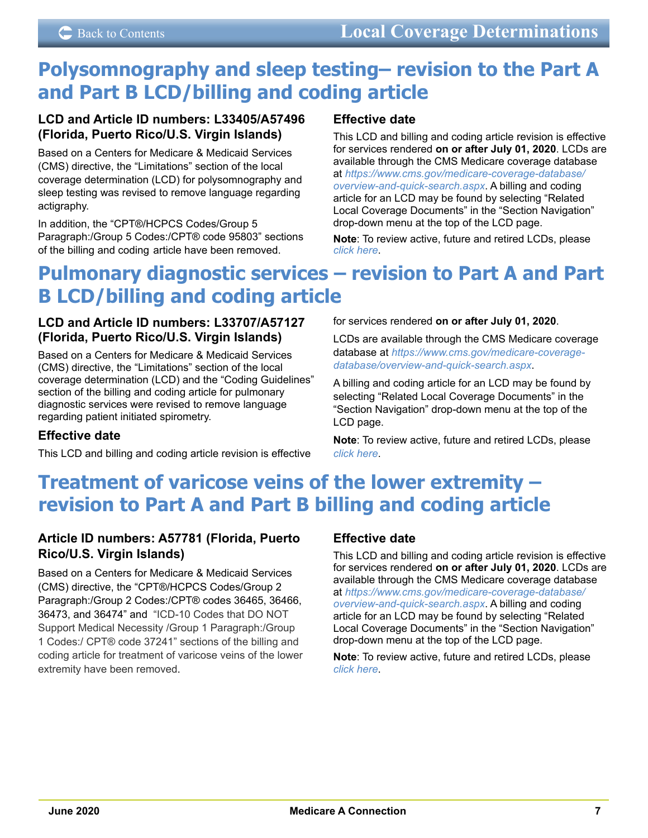# <span id="page-6-0"></span>**Polysomnography and sleep testing– revision to the Part A and Part B LCD/billing and coding article**

## **LCD and Article ID numbers: L33405/A57496 (Florida, Puerto Rico/U.S. Virgin Islands)**

Based on a Centers for Medicare & Medicaid Services (CMS) directive, the "Limitations" section of the local coverage determination (LCD) for polysomnography and sleep testing was revised to remove language regarding actigraphy.

In addition, the "CPT®/HCPCS Codes/Group 5 Paragraph:/Group 5 Codes:/CPT® code 95803" sections of the billing and coding article have been removed.

## **Effective date**

This LCD and billing and coding article revision is effective for services rendered **on or after July 01, 2020**. LCDs are available through the CMS Medicare coverage database at *[https://www.cms.gov/medicare-coverage-database/](https://www.cms.gov/medicare-coverage-database/overview-and-quick-search.aspx) [overview-and-quick-search.aspx](https://www.cms.gov/medicare-coverage-database/overview-and-quick-search.aspx)*. A billing and coding article for an LCD may be found by selecting "Related Local Coverage Documents" in the "Section Navigation" drop-down menu at the top of the LCD page.

**Note**: To review active, future and retired LCDs, please *[click here](https://medicare.fcso.com/coverage_find_lcds_and_ncds/lcd_search.asp)*.

# **Pulmonary diagnostic services – revision to Part A and Part B LCD/billing and coding article**

## **LCD and Article ID numbers: L33707/A57127 (Florida, Puerto Rico/U.S. Virgin Islands)**

Based on a Centers for Medicare & Medicaid Services (CMS) directive, the "Limitations" section of the local coverage determination (LCD) and the "Coding Guidelines" section of the billing and coding article for pulmonary diagnostic services were revised to remove language regarding patient initiated spirometry.

## **Effective date**

This LCD and billing and coding article revision is effective

for services rendered **on or after July 01, 2020**.

LCDs are available through the CMS Medicare coverage database at *[https://www.cms.gov/medicare-coverage](https://www.cms.gov/medicare-coverage-database/overview-and-quick-search.aspx)[database/overview-and-quick-search.aspx](https://www.cms.gov/medicare-coverage-database/overview-and-quick-search.aspx)*.

A billing and coding article for an LCD may be found by selecting "Related Local Coverage Documents" in the "Section Navigation" drop-down menu at the top of the LCD page.

**Note**: To review active, future and retired LCDs, please *[click here](https://medicare.fcso.com/coverage_find_lcds_and_ncds/lcd_search.asp)*.

# **Treatment of varicose veins of the lower extremity – revision to Part A and Part B billing and coding article**

## **Article ID numbers: A57781 (Florida, Puerto Rico/U.S. Virgin Islands)**

Based on a Centers for Medicare & Medicaid Services (CMS) directive, the "CPT®/HCPCS Codes/Group 2 Paragraph:/Group 2 Codes:/CPT® codes 36465, 36466, 36473, and 36474" and "ICD-10 Codes that DO NOT Support Medical Necessity /Group 1 Paragraph:/Group 1 Codes:/ CPT® code 37241" sections of the billing and coding article for treatment of varicose veins of the lower extremity have been removed.

## **Effective date**

This LCD and billing and coding article revision is effective for services rendered **on or after July 01, 2020**. LCDs are available through the CMS Medicare coverage database at *[https://www.cms.gov/medicare-coverage-database/](https://www.cms.gov/medicare-coverage-database/overview-and-quick-search.aspx) [overview-and-quick-search.aspx](https://www.cms.gov/medicare-coverage-database/overview-and-quick-search.aspx)*. A billing and coding article for an LCD may be found by selecting "Related Local Coverage Documents" in the "Section Navigation" drop-down menu at the top of the LCD page.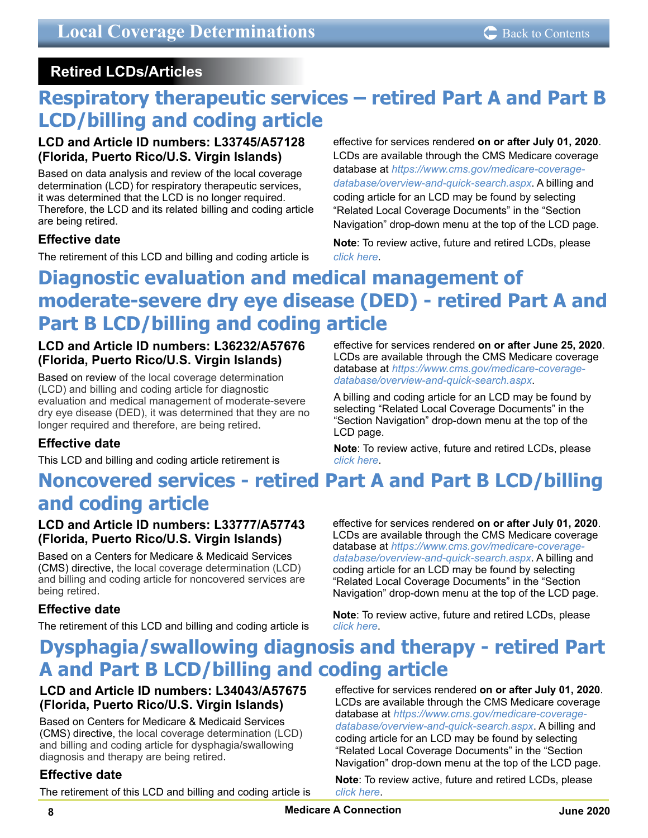## <span id="page-7-0"></span> **Retired LCDs/Articles**

# **Respiratory therapeutic services – retired Part A and Part B LCD/billing and coding article**

## **LCD and Article ID numbers: L33745/A57128 (Florida, Puerto Rico/U.S. Virgin Islands)**

Based on data analysis and review of the local coverage determination (LCD) for respiratory therapeutic services, it was determined that the LCD is no longer required. Therefore, the LCD and its related billing and coding article are being retired.

## **Effective date**

The retirement of this LCD and billing and coding article is

effective for services rendered **on or after July 01, 2020**. LCDs are available through the CMS Medicare coverage database at *[https://www.cms.gov/medicare-coverage](https://www.cms.gov/medicare-coverage-database/overview-and-quick-search.aspx)[database/overview-and-quick-search.aspx](https://www.cms.gov/medicare-coverage-database/overview-and-quick-search.aspx)*. A billing and coding article for an LCD may be found by selecting "Related Local Coverage Documents" in the "Section Navigation" drop-down menu at the top of the LCD page.

**Note**: To review active, future and retired LCDs, please *[click here](https://medicare.fcso.com/coverage_find_lcds_and_ncds/lcd_search.asp)*.

# **Diagnostic evaluation and medical management of moderate-severe dry eye disease (DED) - retired Part A and Part B LCD/billing and coding article**

## **LCD and Article ID numbers: L36232/A57676 (Florida, Puerto Rico/U.S. Virgin Islands)**

Based on review of the local coverage determination (LCD) and billing and coding article for diagnostic evaluation and medical management of moderate-severe dry eye disease (DED), it was determined that they are no longer required and therefore, are being retired.

## **Effective date**

This LCD and billing and coding article retirement is

effective for services rendered **on or after June 25, 2020**. LCDs are available through the CMS Medicare coverage database at *[https://www.cms.gov/medicare-coverage](https://www.cms.gov/medicare-coverage-database/overview-and-quick-search.aspx)[database/overview-and-quick-search.aspx](https://www.cms.gov/medicare-coverage-database/overview-and-quick-search.aspx)*.

A billing and coding article for an LCD may be found by selecting "Related Local Coverage Documents" in the "Section Navigation" drop-down menu at the top of the LCD page.

**Note**: To review active, future and retired LCDs, please *[click here](https://medicare.fcso.com/coverage_find_lcds_and_ncds/lcd_search.asp)*.

# **Noncovered services - retired Part A and Part B LCD/billing and coding article**

## **LCD and Article ID numbers: L33777/A57743 (Florida, Puerto Rico/U.S. Virgin Islands)**

Based on a Centers for Medicare & Medicaid Services (CMS) directive, the local coverage determination (LCD) and billing and coding article for noncovered services are being retired.

## **Effective date**

The retirement of this LCD and billing and coding article is

effective for services rendered **on or after July 01, 2020**. LCDs are available through the CMS Medicare coverage database at *[https://www.cms.gov/medicare-coverage](https://www.cms.gov/medicare-coverage-database/overview-and-quick-search.aspx)[database/overview-and-quick-search.aspx](https://www.cms.gov/medicare-coverage-database/overview-and-quick-search.aspx)*. A billing and coding article for an LCD may be found by selecting "Related Local Coverage Documents" in the "Section Navigation" drop-down menu at the top of the LCD page.

**Note**: To review active, future and retired LCDs, please *[click here](https://medicare.fcso.com/coverage_find_lcds_and_ncds/lcd_search.asp)*.

# **Dysphagia/swallowing diagnosis and therapy - retired Part A and Part B LCD/billing and coding article**

## **LCD and Article ID numbers: L34043/A57675 (Florida, Puerto Rico/U.S. Virgin Islands)**

Based on Centers for Medicare & Medicaid Services (CMS) directive, the local coverage determination (LCD) and billing and coding article for dysphagia/swallowing diagnosis and therapy are being retired.

## **Effective date**

The retirement of this LCD and billing and coding article is

effective for services rendered **on or after July 01, 2020**. LCDs are available through the CMS Medicare coverage database at *[https://www.cms.gov/medicare-coverage](https://www.cms.gov/medicare-coverage-database/overview-and-quick-search.aspx)[database/overview-and-quick-search.aspx](https://www.cms.gov/medicare-coverage-database/overview-and-quick-search.aspx)*. A billing and coding article for an LCD may be found by selecting "Related Local Coverage Documents" in the "Section Navigation" drop-down menu at the top of the LCD page.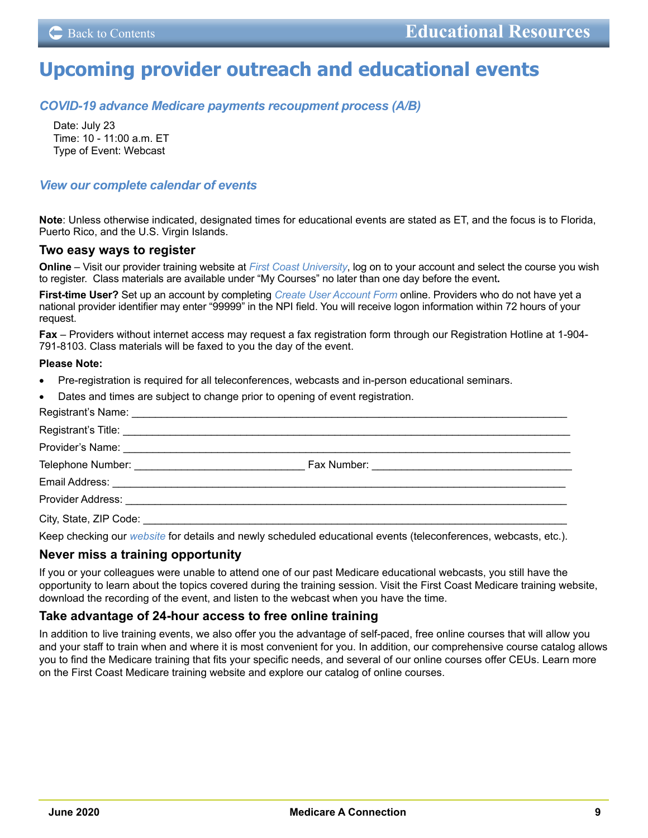# <span id="page-8-0"></span>**Upcoming provider outreach and educational events**

*[COVID-19 advance Medicare payments recoupment process \(A/B\)](https://medicare.fcso.com/Events/0462049.asp)*

Date: July 23 Time: 10 - 11:00 a.m. ET Type of Event: Webcast

#### *[View our complete calendar of events](https://medicare.fcso.com/Events/139814.asp)*

**Note**: Unless otherwise indicated, designated times for educational events are stated as ET, and the focus is to Florida, Puerto Rico, and the U.S. Virgin Islands.

#### **Two easy ways to register**

**Online** – Visit our provider training website at *[First Coast University](https://guidewell.sumtotal.host/Broker/Account/Login.aspx?wtrealm=https%3a%2f%2fGUIDEWELL.sumtotal.host%2fcore%2f&init=true&ReturnUrl=http%3a%2f%2fguidewell.sumtotal.host%2fBroker%2fToken%2fSaml11.ashx%3fwa%3dwsignin1.0%26wtrealm%3dhttps%253a%252f%252fGUIDEWELL.sumtotal.host%252fcore%252f%26wreply%3dhttps%253a%252f%252fguidewell.sumtotal.host%252fCore&bypassfederation=1&domainid=8A0DED2D7B2C42E650514E91ABFEC309)*, log on to your account and select the course you wish to register. Class materials are available under "My Courses" no later than one day before the event**.** 

**First-time User?** Set up an account by completing *[Create User Account Form](https://guidewell.sumtotal.host/Broker/Account/SelfCreateUser.aspx?wtrealm=https%3a%2f%2fGUIDEWELL.sumtotal.host%2fcore%2f&ReturnUrl=http%3a%2f%2fguidewell.sumtotal.host%2fBroker%2fToken%2fSaml11.ashx%3fwa%3dwsignin1.0%26wtrealm%3dhttps%253a%252f%252fGUIDEWELL.sumtotal.host%252fcore%252f%26wreply%3dhttps%253a%252f%252fguidewell.sumtotal.host%252fCore&domainid=52E779EF85124601060E2A610FE1897F)* online. Providers who do not have yet a national provider identifier may enter "99999" in the NPI field. You will receive logon information within 72 hours of your request.

**Fax** – Providers without internet access may request a fax registration form through our Registration Hotline at 1-904- 791-8103. Class materials will be faxed to you the day of the event.

#### **Please Note:**

- Pre-registration is required for all teleconferences, webcasts and in-person educational seminars.
- Dates and times are subject to change prior to opening of event registration.

| City, State, ZIP Code: We have a state of the state of the state of the state of the state of the state of the state of the state of the state of the state of the state of the state of the state of the state of the state o |  |
|--------------------------------------------------------------------------------------------------------------------------------------------------------------------------------------------------------------------------------|--|
|                                                                                                                                                                                                                                |  |

Keep checking our *[website](https://medicare.fcso.com/)* for details and newly scheduled educational events (teleconferences, webcasts, etc.).

#### **Never miss a training opportunity**

If you or your colleagues were unable to attend one of our past Medicare educational webcasts, you still have the opportunity to learn about the topics covered during the training session. Visit the First Coast Medicare training website, download the recording of the event, and listen to the webcast when you have the time.

#### **Take advantage of 24-hour access to free online training**

In addition to live training events, we also offer you the advantage of self-paced, free online courses that will allow you and your staff to train when and where it is most convenient for you. In addition, our comprehensive course catalog allows you to find the Medicare training that fits your specific needs, and several of our online courses offer CEUs. Learn more on the First Coast Medicare training website and explore our catalog of online courses.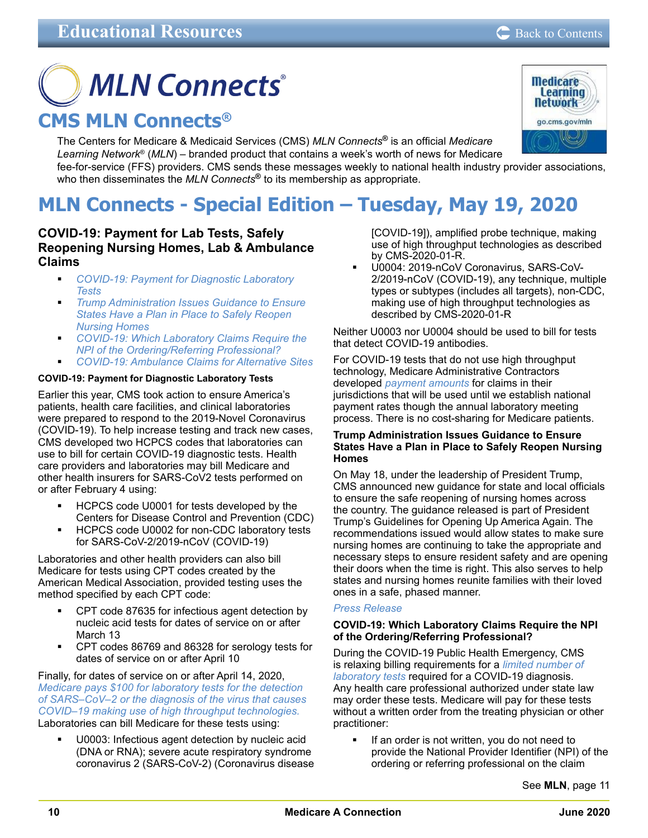**Medicare Learning Network** go.cms.gov/mln

# <span id="page-9-0"></span>**MLN Connects® CMS MLN Connects®**

The Centers for Medicare & Medicaid Services (CMS) *MLN Connects***®** is an official *Medicare Learning Network*® (*MLN*) – branded product that contains a week's worth of news for Medicare fee-for-service (FFS) providers. CMS sends these messages weekly to national health industry provider associations, who then disseminates the *MLN Connects***®** to its membership as appropriate.

# **MLN Connects - Special Edition – Tuesday, May 19, 2020**

## **COVID-19: Payment for Lab Tests, Safely Reopening Nursing Homes, Lab & Ambulance Claims**

- *COVID-19: Payment for Diagnostic Laboratory Tests*
- *Trump Administration Issues Guidance to Ensure States Have a Plan in Place to Safely Reopen Nursing Homes*
- *COVID-19: Which Laboratory Claims Require the NPI of the Ordering/Referring Professional?*
- *COVID-19: Ambulance Claims for Alternative Sites*

#### **COVID-19: Payment for Diagnostic Laboratory Tests**

Earlier this year, CMS took action to ensure America's patients, health care facilities, and clinical laboratories were prepared to respond to the 2019-Novel Coronavirus (COVID-19). To help increase testing and track new cases, CMS developed two HCPCS codes that laboratories can use to bill for certain COVID-19 diagnostic tests. Health care providers and laboratories may bill Medicare and other health insurers for SARS-CoV2 tests performed on or after February 4 using:

- HCPCS code U0001 for tests developed by the Centers for Disease Control and Prevention (CDC)
- HCPCS code U0002 for non-CDC laboratory tests for SARS-CoV-2/2019-nCoV (COVID-19)

Laboratories and other health providers can also bill Medicare for tests using CPT codes created by the American Medical Association, provided testing uses the method specified by each CPT code:

- CPT code 87635 for infectious agent detection by nucleic acid tests for dates of service on or after March 13
- CPT codes 86769 and 86328 for serology tests for dates of service on or after April 10

Finally, for dates of service on or after April 14, 2020, *[Medicare pays \\$100 for laboratory tests for the detection](https://www.cms.gov/files/document/cms-2020-01-r.pdf)  [of SARS–CoV–2 or the diagnosis of the virus that causes](https://www.cms.gov/files/document/cms-2020-01-r.pdf)  [COVID–19 making use of high throughput technologies.](https://www.cms.gov/files/document/cms-2020-01-r.pdf)* Laboratories can bill Medicare for these tests using:

 U0003: Infectious agent detection by nucleic acid (DNA or RNA); severe acute respiratory syndrome coronavirus 2 (SARS-CoV-2) (Coronavirus disease [COVID-19]), amplified probe technique, making use of high throughput technologies as described by CMS-2020-01-R.

 U0004: 2019-nCoV Coronavirus, SARS-CoV-2/2019-nCoV (COVID-19), any technique, multiple types or subtypes (includes all targets), non-CDC, making use of high throughput technologies as described by CMS-2020-01-R

Neither U0003 nor U0004 should be used to bill for tests that detect COVID-19 antibodies.

For COVID-19 tests that do not use high throughput technology, Medicare Administrative Contractors developed *[payment amounts](https://www.cms.gov/files/document/mac-covid-19-test-pricing.pdf)* for claims in their jurisdictions that will be used until we establish national payment rates though the annual laboratory meeting process. There is no cost-sharing for Medicare patients.

#### **Trump Administration Issues Guidance to Ensure States Have a Plan in Place to Safely Reopen Nursing Homes**

On May 18, under the leadership of President Trump, CMS announced new guidance for state and local officials to ensure the safe reopening of nursing homes across the country. The guidance released is part of President Trump's Guidelines for Opening Up America Again. The recommendations issued would allow states to make sure nursing homes are continuing to take the appropriate and necessary steps to ensure resident safety and are opening their doors when the time is right. This also serves to help states and nursing homes reunite families with their loved ones in a safe, phased manner.

#### *[Press Release](https://www.cms.gov/newsroom/press-releases/trump-administration-issues-guidance-ensure-states-have-plan-place-safely-reopen-nursing-homes)*

#### **COVID-19: Which Laboratory Claims Require the NPI of the Ordering/Referring Professional?**

During the COVID-19 Public Health Emergency, CMS is relaxing billing requirements for a *[limited number of](https://www.cms.gov/files/document/covid-ifc-2-flu-rsv-codes.pdf)  [laboratory tests](https://www.cms.gov/files/document/covid-ifc-2-flu-rsv-codes.pdf)* required for a COVID-19 diagnosis. Any health care professional authorized under state law may order these tests. Medicare will pay for these tests without a written order from the treating physician or other practitioner:

 If an order is not written, you do not need to provide the National Provider Identifier (NPI) of the ordering or referring professional on the claim

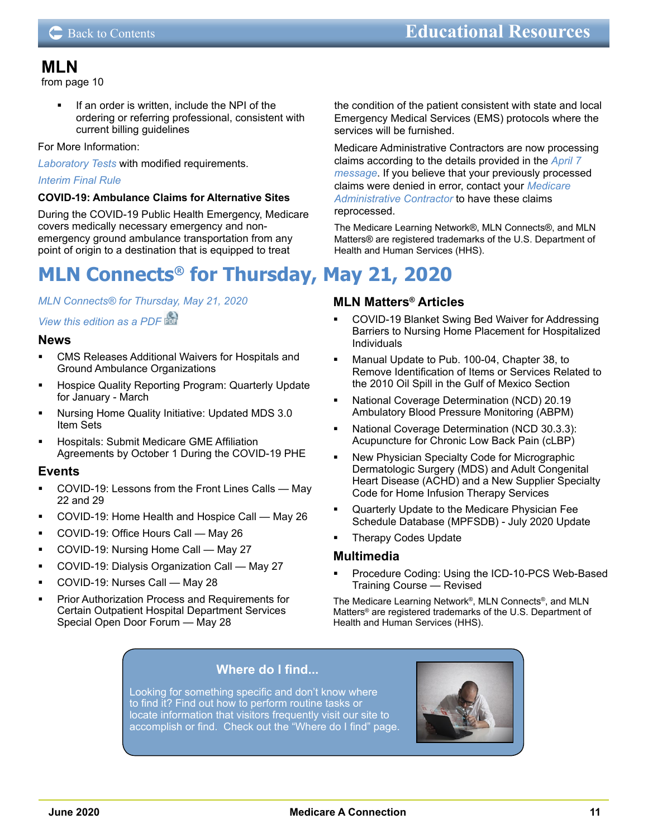## <span id="page-10-0"></span>**MLN**

[from page 10](#page-9-0)

 If an order is written, include the NPI of the ordering or referring professional, consistent with current billing guidelines

#### For More Information:

*[Laboratory Tests](https://www.cms.gov/files/document/covid-ifc-2-flu-rsv-codes.pdf)* with modified requirements.

#### *[Interim Final Rule](https://www.federalregister.gov/documents/2020/05/08/2020-09608/medicare-and-medicaid-programs-basic-health-program-and-exchanges-additional-policy-and-regulatory)*

#### **COVID-19: Ambulance Claims for Alternative Sites**

During the COVID-19 Public Health Emergency, Medicare covers medically necessary emergency and nonemergency ground ambulance transportation from any point of origin to a destination that is equipped to treat

# **MLN Connects® for Thursday, May 21, 2020**

#### *MLN Connects® [for Thursday, May 21, 2020](https://www.cms.gov/outreach-and-educationoutreachffsprovpartprogprovider-partnership-email-archive/2020-05-21-mlnc)*

#### *[View this edition as a PDF](https://www.cms.gov/files/document/2020-05-21-mlnc.pdf)*

#### **News**

- CMS Releases Additional Waivers for Hospitals and Ground Ambulance Organizations
- **Hospice Quality Reporting Program: Quarterly Update** for January - March
- Nursing Home Quality Initiative: Updated MDS 3.0 Item Sets
- Hospitals: Submit Medicare GME Affiliation Agreements by October 1 During the COVID-19 PHE

#### **Events**

- COVID-19: Lessons from the Front Lines Calls May 22 and 29
- COVID-19: Home Health and Hospice Call May 26
- COVID-19: Office Hours Call May 26
- COVID-19: Nursing Home Call May 27
- COVID-19: Dialysis Organization Call May 27
- COVID-19: Nurses Call May 28
- Prior Authorization Process and Requirements for Certain Outpatient Hospital Department Services Special Open Door Forum — May 28

#### the condition of the patient consistent with state and local Emergency Medical Services (EMS) protocols where the services will be furnished.

Medicare Administrative Contractors are now processing claims according to the details provided in the *[April 7](https://www.cms.gov/outreach-and-educationoutreachffsprovpartprogprovider-partnership-email-archive/2020-04-07-mlnc-se)  [message](https://www.cms.gov/outreach-and-educationoutreachffsprovpartprogprovider-partnership-email-archive/2020-04-07-mlnc-se)*. If you believe that your previously processed claims were denied in error, contact your *[Medicare](https://www.cms.gov/Medicare/Medicare-Contracting/FFSProvCustSvcGen/MAC-Website-List)  [Administrative Contractor](https://www.cms.gov/Medicare/Medicare-Contracting/FFSProvCustSvcGen/MAC-Website-List)* to have these claims reprocessed.

The Medicare Learning Network®, MLN Connects®, and MLN Matters® are registered trademarks of the U.S. Department of Health and Human Services (HHS).

#### **MLN Matters® Articles**

- COVID-19 Blanket Swing Bed Waiver for Addressing Barriers to Nursing Home Placement for Hospitalized Individuals
- Manual Update to Pub. 100-04, Chapter 38, to Remove Identification of Items or Services Related to the 2010 Oil Spill in the Gulf of Mexico Section
- National Coverage Determination (NCD) 20.19 Ambulatory Blood Pressure Monitoring (ABPM)
- National Coverage Determination (NCD 30.3.3): Acupuncture for Chronic Low Back Pain (cLBP)
- New Physician Specialty Code for Micrographic Dermatologic Surgery (MDS) and Adult Congenital Heart Disease (ACHD) and a New Supplier Specialty Code for Home Infusion Therapy Services
- Quarterly Update to the Medicare Physician Fee Schedule Database (MPFSDB) - July 2020 Update
- Therapy Codes Update

#### **Multimedia**

 Procedure Coding: Using the ICD-10-PCS Web-Based Training Course — Revised

The Medicare Learning Network®, MLN Connects®, and MLN Matters® are registered trademarks of the U.S. Department of Health and Human Services (HHS).

## **Where do I find...**

Looking for something specific and don't know where to find it? Find out how to perform routine tasks or locate information that visitors frequently visit our site to [accomplish or find. Check out the "Where do I find" page.](https://medicare.fcso.com/landing/235880.asp) 

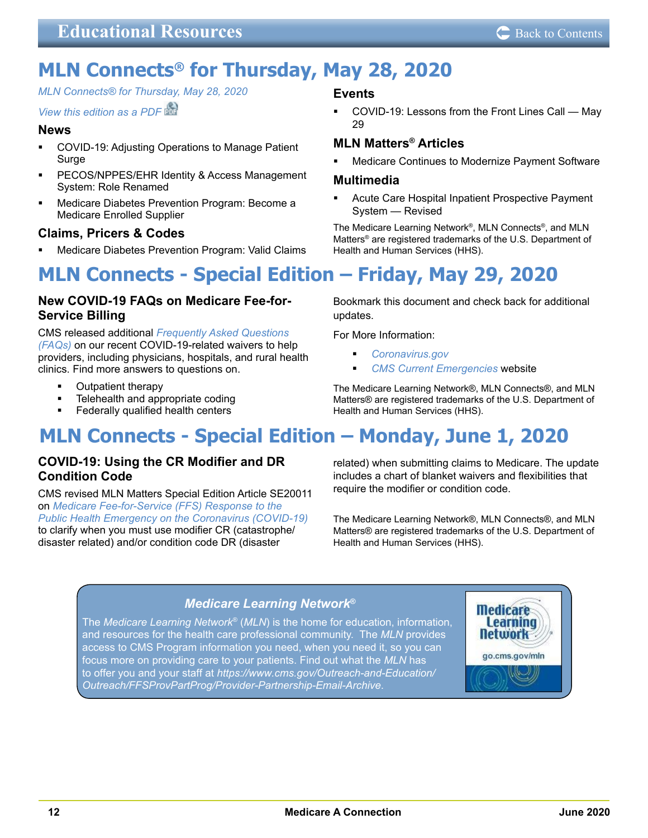# <span id="page-11-0"></span>**MLN Connects® for Thursday, May 28, 2020**

*MLN Connects® [for Thursday, May 28, 2020](https://www.cms.gov/outreach-and-educationoutreachffsprovpartprogprovider-partnership-email-archive/2020-05-28-mlnc)*

## *[View this edition as a PDF](https://www.cms.gov/files/document/2020-05-28-mlnc.pdf)*

## **News**

- COVID-19: Adjusting Operations to Manage Patient **Surge**
- PECOS/NPPES/EHR Identity & Access Management System: Role Renamed
- Medicare Diabetes Prevention Program: Become a Medicare Enrolled Supplier

## **Claims, Pricers & Codes**

Medicare Diabetes Prevention Program: Valid Claims

#### **Events**

 COVID-19: Lessons from the Front Lines Call — May 29

## **MLN Matters® Articles**

Medicare Continues to Modernize Payment Software

#### **Multimedia**

updates.

For More Information:

*[Coronavirus.gov](https://www.cdc.gov/coronavirus/2019-ncov/index.html)*

Health and Human Services (HHS).

 Acute Care Hospital Inpatient Prospective Payment System — Revised

The Medicare Learning Network®, MLN Connects®, and MLN Matters® are registered trademarks of the U.S. Department of Health and Human Services (HHS).

Bookmark this document and check back for additional

The Medicare Learning Network®, MLN Connects®, and MLN Matters® are registered trademarks of the U.S. Department of

*[CMS Current Emergencies](https://www.cms.gov/About-CMS/Agency-Information/Emergency/EPRO/Current-Emergencies/Current-Emergencies-page)* website

# **MLN Connects - Special Edition – Friday, May 29, 2020**

## **New COVID-19 FAQs on Medicare Fee-for-Service Billing**

CMS released additional *[Frequently Asked Questions](https://www.cms.gov/files/document/03092020-covid-19-faqs-508.pdf)  [\(FAQs\)](https://www.cms.gov/files/document/03092020-covid-19-faqs-508.pdf)* on our recent COVID-19-related waivers to help providers, including physicians, hospitals, and rural health clinics. Find more answers to questions on.

- Outpatient therapy
- Telehealth and appropriate coding
- Federally qualified health centers

# **MLN Connects - Special Edition – Monday, June 1, 2020**

## **COVID-19: Using the CR Modifier and DR Condition Code**

CMS revised MLN Matters Special Edition Article SE20011 on *[Medicare Fee-for-Service \(FFS\) Response to the](https://www.cms.gov/files/document/se20011.pdf)  [Public Health Emergency on the Coronavirus \(COVID-19\)](https://www.cms.gov/files/document/se20011.pdf)* to clarify when you must use modifier CR (catastrophe/ disaster related) and/or condition code DR (disaster

related) when submitting claims to Medicare. The update includes a chart of blanket waivers and flexibilities that require the modifier or condition code.

The Medicare Learning Network®, MLN Connects®, and MLN Matters® are registered trademarks of the U.S. Department of Health and Human Services (HHS).

## *Medicare Learning Network***®**

The *Medicare Learning Network*® (*MLN*) is the home for education, information, and resources for the health care professional community. The *MLN* provides [access to CMS Program information you need, when you need it, so you can](https://www.cms.gov/Outreach-and-Education/Outreach/FFSProvPartProg/Provider-Partnership-Email-Archive)  focus more on providing care to your patients. Find out what the *MLN* has to offer you and your staff at *https://www.cms.gov/Outreach-and-Education/ Outreach/FFSProvPartProg/Provider-Partnership-Email-Archive*.

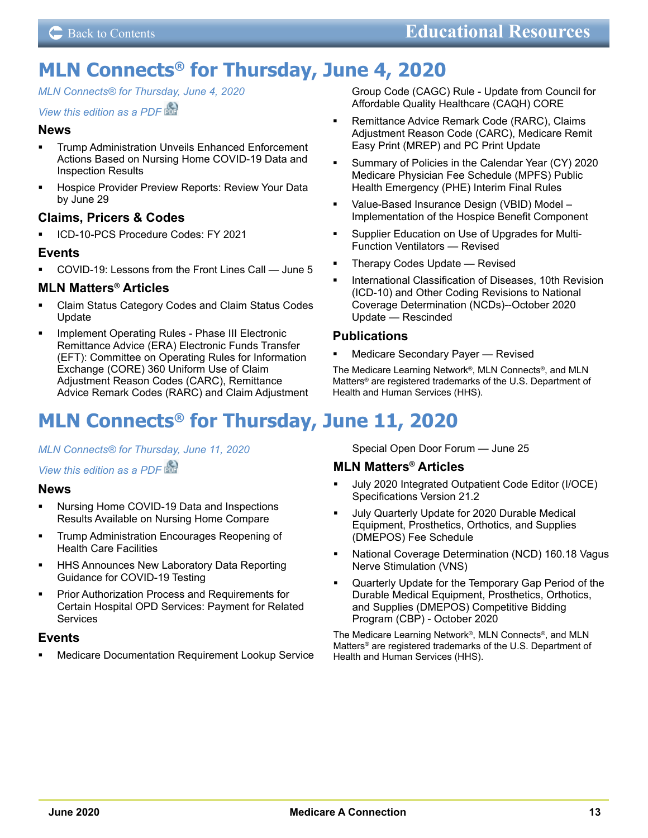# <span id="page-12-0"></span>**MLN Connects® for Thursday, June 4, 2020**

*MLN Connects® [for Thursday, June 4, 2020](https://www.cms.gov/outreach-and-educationoutreachffsprovpartprogprovider-partnership-email-archive/2020-06-04-mlnc)*

#### *[View this edition as a PDF](https://www.cms.gov/files/document/2020-06-04-mlnc.pdf)*

#### **News**

- **Trump Administration Unveils Enhanced Enforcement** Actions Based on Nursing Home COVID-19 Data and Inspection Results
- Hospice Provider Preview Reports: Review Your Data by June 29

## **Claims, Pricers & Codes**

ICD-10-PCS Procedure Codes: FY 2021

#### **Events**

COVID-19: Lessons from the Front Lines Call — June 5

#### **MLN Matters® Articles**

- Claim Status Category Codes and Claim Status Codes Update
- Implement Operating Rules Phase III Electronic Remittance Advice (ERA) Electronic Funds Transfer (EFT): Committee on Operating Rules for Information Exchange (CORE) 360 Uniform Use of Claim Adjustment Reason Codes (CARC), Remittance Advice Remark Codes (RARC) and Claim Adjustment

# **MLN Connects® for Thursday, June 11, 2020**

#### *MLN Connects® [for Thursday, June 11, 2020](https://www.cms.gov/outreach-and-educationoutreachffsprovpartprogprovider-partnership-email-archive/2020-06-11-mlnc)*

#### *[View this edition as a PDF](https://www.cms.gov/files/document/2020-06-11-mlnc.pdf)*

#### **News**

- Nursing Home COVID-19 Data and Inspections Results Available on Nursing Home Compare
- Trump Administration Encourages Reopening of Health Care Facilities
- **HHS Announces New Laboratory Data Reporting** Guidance for COVID-19 Testing
- Prior Authorization Process and Requirements for Certain Hospital OPD Services: Payment for Related Services

#### **Events**

Medicare Documentation Requirement Lookup Service

Group Code (CAGC) Rule - Update from Council for Affordable Quality Healthcare (CAQH) CORE

- Remittance Advice Remark Code (RARC), Claims Adjustment Reason Code (CARC), Medicare Remit Easy Print (MREP) and PC Print Update
- Summary of Policies in the Calendar Year (CY) 2020 Medicare Physician Fee Schedule (MPFS) Public Health Emergency (PHE) Interim Final Rules
- Value-Based Insurance Design (VBID) Model Implementation of the Hospice Benefit Component
- Supplier Education on Use of Upgrades for Multi-Function Ventilators — Revised
- Therapy Codes Update Revised
- International Classification of Diseases, 10th Revision (ICD-10) and Other Coding Revisions to National Coverage Determination (NCDs)--October 2020 Update — Rescinded

#### **Publications**

**Medicare Secondary Payer — Revised** 

The Medicare Learning Network®, MLN Connects®, and MLN Matters® are registered trademarks of the U.S. Department of Health and Human Services (HHS).

Special Open Door Forum — June 25

## **MLN Matters® Articles**

- July 2020 Integrated Outpatient Code Editor (I/OCE) Specifications Version 21.2
- July Quarterly Update for 2020 Durable Medical Equipment, Prosthetics, Orthotics, and Supplies (DMEPOS) Fee Schedule
- National Coverage Determination (NCD) 160.18 Vagus Nerve Stimulation (VNS)
- Quarterly Update for the Temporary Gap Period of the Durable Medical Equipment, Prosthetics, Orthotics, and Supplies (DMEPOS) Competitive Bidding Program (CBP) - October 2020

The Medicare Learning Network®, MLN Connects®, and MLN Matters® are registered trademarks of the U.S. Department of Health and Human Services (HHS).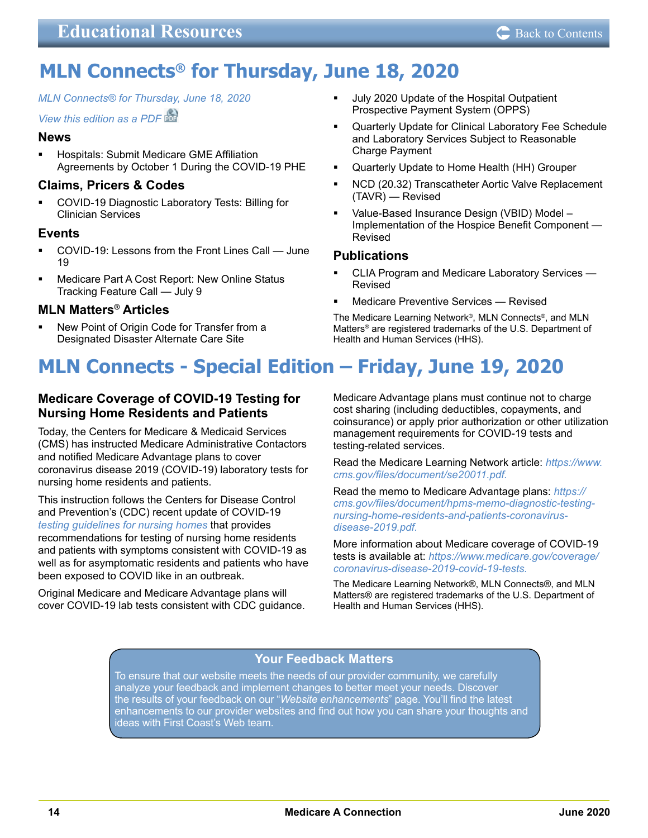# <span id="page-13-0"></span>**MLN Connects® for Thursday, June 18, 2020**

*[MLN Connects® for Thursday, June 18, 2020](https://www.cms.gov/outreach-and-educationoutreachffsprovpartprogprovider-partnership-email-archive/2020-06-18-mlnc)*

*[View this edition as a PDF](https://www.cms.gov/files/document/2020-06-18-mlnc.pdf)*

## **News**

 Hospitals: Submit Medicare GME Affiliation Agreements by October 1 During the COVID-19 PHE

## **Claims, Pricers & Codes**

 COVID-19 Diagnostic Laboratory Tests: Billing for Clinician Services

## **Events**

- COVID-19: Lessons from the Front Lines Call June 19
- Medicare Part A Cost Report: New Online Status Tracking Feature Call — July 9

## **MLN Matters® Articles**

 New Point of Origin Code for Transfer from a Designated Disaster Alternate Care Site

- July 2020 Update of the Hospital Outpatient Prospective Payment System (OPPS)
- Quarterly Update for Clinical Laboratory Fee Schedule and Laboratory Services Subject to Reasonable Charge Payment
- Quarterly Update to Home Health (HH) Grouper
- NCD (20.32) Transcatheter Aortic Valve Replacement (TAVR) — Revised
- Value-Based Insurance Design (VBID) Model Implementation of the Hospice Benefit Component — Revised

## **Publications**

- CLIA Program and Medicare Laboratory Services Revised
- Medicare Preventive Services Revised

The Medicare Learning Network®, MLN Connects®, and MLN Matters® are registered trademarks of the U.S. Department of Health and Human Services (HHS).

# **MLN Connects - Special Edition – Friday, June 19, 2020**

## **Medicare Coverage of COVID-19 Testing for Nursing Home Residents and Patients**

Today, the Centers for Medicare & Medicaid Services (CMS) has instructed Medicare Administrative Contactors and notified Medicare Advantage plans to cover coronavirus disease 2019 (COVID-19) laboratory tests for nursing home residents and patients.

This instruction follows the Centers for Disease Control and Prevention's (CDC) recent update of COVID-19 *[testing guidelines for nursing homes](https://www.cdc.gov/coronavirus/2019-ncov/hcp/nursing-homes-testing.html)* that provides recommendations for testing of nursing home residents and patients with symptoms consistent with COVID-19 as well as for asymptomatic residents and patients who have been exposed to COVID like in an outbreak.

Original Medicare and Medicare Advantage plans will cover COVID-19 lab tests consistent with CDC guidance. Medicare Advantage plans must continue not to charge cost sharing (including deductibles, copayments, and coinsurance) or apply prior authorization or other utilization management requirements for COVID-19 tests and testing-related services.

Read the Medicare Learning Network article: *[https://www.](https://www.cms.gov/files/document/se20011.pdf) [cms.gov/files/document/se20011.pdf.](https://www.cms.gov/files/document/se20011.pdf)*

Read the memo to Medicare Advantage plans: *[https://](https://www.cms.gov/files/document/hpms-memo-diagnostic-testing-nursing-home-residents-and-patients-coronavirus-disease-2019.pdf) [cms.gov/files/document/hpms-memo-diagnostic-testing](https://www.cms.gov/files/document/hpms-memo-diagnostic-testing-nursing-home-residents-and-patients-coronavirus-disease-2019.pdf)[nursing-home-residents-and-patients-coronavirus](https://www.cms.gov/files/document/hpms-memo-diagnostic-testing-nursing-home-residents-and-patients-coronavirus-disease-2019.pdf)[disease-2019.pdf.](https://www.cms.gov/files/document/hpms-memo-diagnostic-testing-nursing-home-residents-and-patients-coronavirus-disease-2019.pdf)*

More information about Medicare coverage of COVID-19 tests is available at: *[https://www.medicare.gov/coverage/](https://www.medicare.gov/coverage/coronavirus-disease-2019-covid-19-tests) [coronavirus-disease-2019-covid-19-tests.](https://www.medicare.gov/coverage/coronavirus-disease-2019-covid-19-tests)*

The Medicare Learning Network®, MLN Connects®, and MLN Matters® are registered trademarks of the U.S. Department of Health and Human Services (HHS).

## **Your Feedback Matters**

To ensure that our website meets the needs of our provider community, we carefully analyze your feedback and implement changes to better meet your needs. Discover the results of your feedback on our "*Website enhancements*" page. You'll find the latest [enhancements to our provider websites and find out how you can share your thoughts and](https://medicare.fcso.com/help/201743.asp)  ideas with First Coast's Web team.